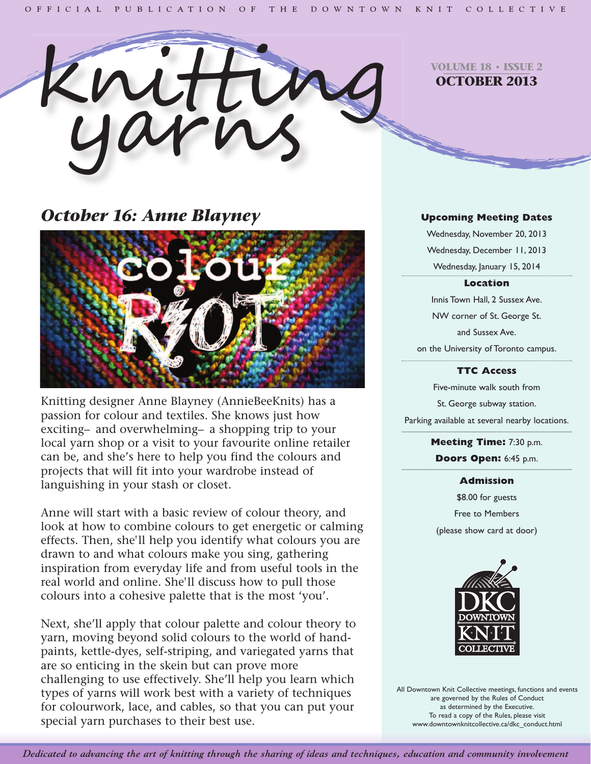

**VOLUME 18 • ISSUE 2 OCTOBER 2013**

# *October 16: Anne Blayney*



Knitting designer Anne Blayney (AnnieBeeKnits) has a passion for colour and textiles. She knows just how exciting– and overwhelming– a shopping trip to your local yarn shop or a visit to your favourite online retailer can be, and she's here to help you find the colours and projects that will fit into your wardrobe instead of languishing in your stash or closet.

Anne will start with a basic review of colour theory, and look at how to combine colours to get energetic or calming effects. Then, she'll help you identify what colours you are drawn to and what colours make you sing, gathering inspiration from everyday life and from useful tools in the real world and online. She'll discuss how to pull those colours into a cohesive palette that is the most 'you'.

Next, she'll apply that colour palette and colour theory to yarn, moving beyond solid colours to the world of handpaints, kettle-dyes, self-striping, and variegated yarns that are so enticing in the skein but can prove more challenging to use effectively. She'll help you learn which types of yarns will work best with a variety of techniques for colourwork, lace, and cables, so that you can put your special yarn purchases to their best use.

### **Upcoming Meeting Dates**

Wednesday, November 20, 2013 Wednesday, December 11, 2013 Wednesday, January 15, 2014

### **Location**

Innis Town Hall, 2 Sussex Ave. NW corner of St. George St. and Sussex Ave. on the University of Toronto campus.

### **TTC Access**

Five-minute walk south from St. George subway station. Parking available at several nearby locations.

> **Meeting Time:** 7:30 p.m. **Doors Open:** 6:45 p.m.

#### **Admission**

\$8.00 for guests Free to Members (please show card at door)



All Downtown Knit Collective meetings, functions and events are governed by the Rules of Conduct as determined by the Executive. To read a copy of the Rules, please visit www.downtownknitcollective.ca/dkc\_conduct.html

Dedicated to advancing the art of knitting through the sharing of ideas and techniques, education and community involvement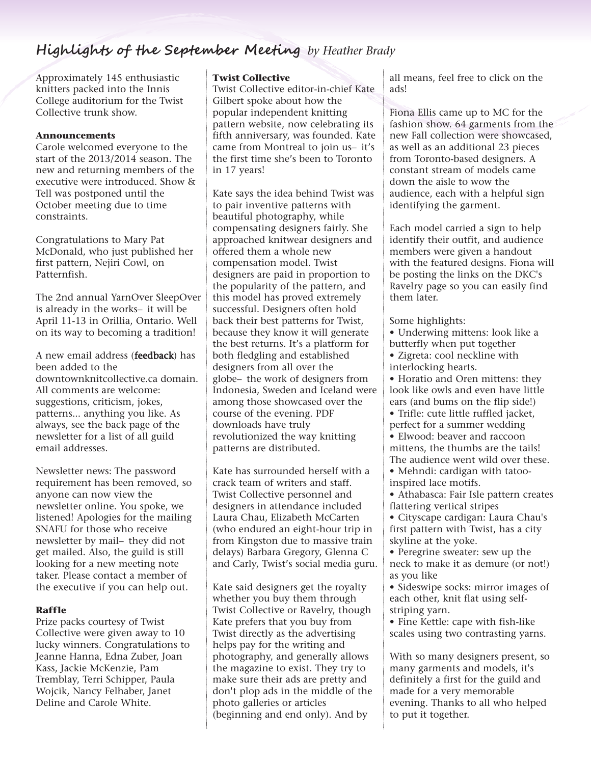# **Highlights of the September Meeting** *by Heather Brady*

Approximately 145 enthusiastic knitters packed into the Innis College auditorium for the Twist Collective trunk show.

### **Announcements**

Carole welcomed everyone to the start of the 2013/2014 season. The new and returning members of the executive were introduced. Show & Tell was postponed until the October meeting due to time constraints.

Congratulations to Mary Pat McDonald, who just published her first pattern, Nejiri Cowl, on Patternfish.

The 2nd annual YarnOver SleepOver is already in the works– it will be April 11-13 in Orillia, Ontario. Well on its way to becoming a tradition!

A new email address (feedback) has been added to the downtownknitcollective.ca domain. All comments are welcome: suggestions, criticism, jokes, patterns... anything you like. As always, see the back page of the newsletter for a list of all guild email addresses.

Newsletter news: The password requirement has been removed, so anyone can now view the newsletter online. You spoke, we listened! Apologies for the mailing SNAFU for those who receive newsletter by mail– they did not get mailed. Also, the guild is still looking for a new meeting note taker. Please contact a member of the executive if you can help out.

### **Raffle**

Prize packs courtesy of Twist Collective were given away to 10 lucky winners. Congratulations to Jeanne Hanna, Edna Zuber, Joan Kass, Jackie McKenzie, Pam Tremblay, Terri Schipper, Paula Wojcik, Nancy Felhaber, Janet Deline and Carole White.

### **Twist Collective**

Twist Collective editor-in-chief Kate Gilbert spoke about how the popular independent knitting pattern website, now celebrating its fifth anniversary, was founded. Kate came from Montreal to join us– it's the first time she's been to Toronto in 17 years!

Kate says the idea behind Twist was to pair inventive patterns with beautiful photography, while compensating designers fairly. She approached knitwear designers and offered them a whole new compensation model. Twist designers are paid in proportion to the popularity of the pattern, and this model has proved extremely successful. Designers often hold back their best patterns for Twist, because they know it will generate the best returns. It's a platform for both fledgling and established designers from all over the globe– the work of designers from Indonesia, Sweden and Iceland were among those showcased over the course of the evening. PDF downloads have truly revolutionized the way knitting patterns are distributed.

Kate has surrounded herself with a crack team of writers and staff. Twist Collective personnel and designers in attendance included Laura Chau, Elizabeth McCarten (who endured an eight-hour trip in from Kingston due to massive train delays) Barbara Gregory, Glenna C and Carly, Twist's social media guru.

Kate said designers get the royalty whether you buy them through Twist Collective or Ravelry, though Kate prefers that you buy from Twist directly as the advertising helps pay for the writing and photography, and generally allows the magazine to exist. They try to make sure their ads are pretty and don't plop ads in the middle of the photo galleries or articles (beginning and end only). And by

all means, feel free to click on the ads!

Fiona Ellis came up to MC for the fashion show. 64 garments from the new Fall collection were showcased, as well as an additional 23 pieces from Toronto-based designers. A constant stream of models came down the aisle to wow the audience, each with a helpful sign identifying the garment.

Each model carried a sign to help identify their outfit, and audience members were given a handout with the featured designs. Fiona will be posting the links on the DKC's Ravelry page so you can easily find them later.

Some highlights:

- Underwing mittens: look like a butterfly when put together
- Zigreta: cool neckline with interlocking hearts.
- Horatio and Oren mittens: they look like owls and even have little ears (and bums on the flip side!)
- Trifle: cute little ruffled jacket, perfect for a summer wedding
- Elwood: beaver and raccoon mittens, the thumbs are the tails!
- The audience went wild over these. • Mehndi: cardigan with tatoo-
- inspired lace motifs. • Athabasca: Fair Isle pattern creates flattering vertical stripes
- Cityscape cardigan: Laura Chau's first pattern with Twist, has a city skyline at the yoke.
- Peregrine sweater: sew up the neck to make it as demure (or not!) as you like
- Sideswipe socks: mirror images of each other, knit flat using selfstriping yarn.
- Fine Kettle: cape with fish-like scales using two contrasting yarns.

With so many designers present, so many garments and models, it's definitely a first for the guild and made for a very memorable evening. Thanks to all who helped to put it together.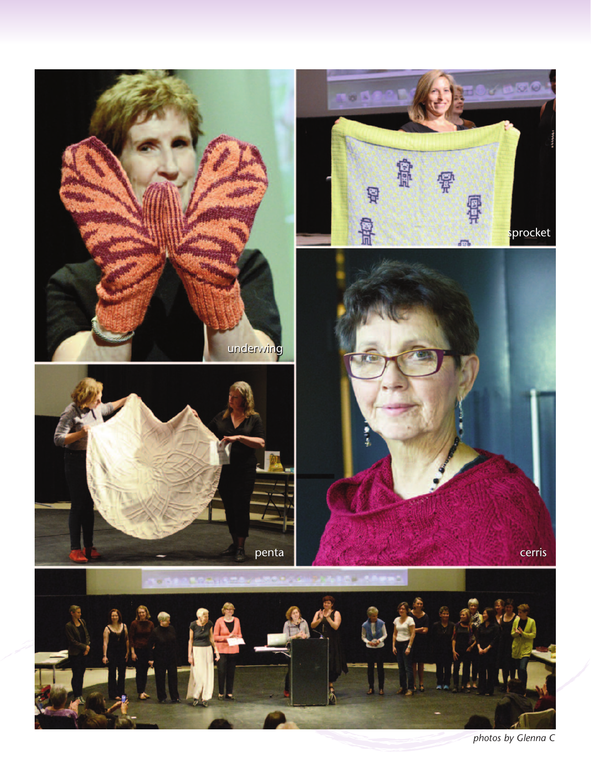

*photos by Glenna C*